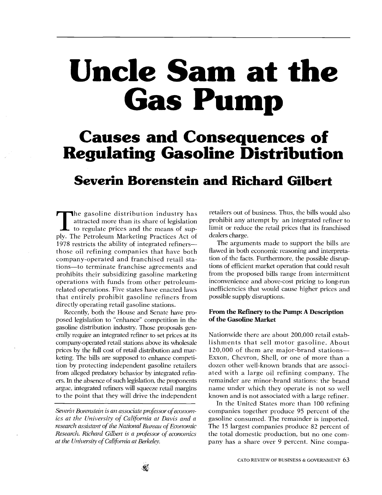# Uncle Sam at the Gas Pump

## Causes and Consequences of Regulating Gasoline Distribution

### Severin Borenstein and Richard Gilbert

The gasoline distribution industry has attracted more than its share of legislation to regulate prices and the means of supply. The Petroleum Marketing Practices Act of 1978 restricts the ability of integrated refinersthose oil refining companies that have both company-operated and franchised retail stations-to terminate franchise agreements and prohibits their subsidizing gasoline marketing operations with funds from other petroleumrelated operations. Five states have enacted laws that entirely prohibit gasoline refiners from directly operating retail gasoline stations.

from alleged predatory behavior by integrated refin-Recently, both the House and Senate have proposed legislation to "enhance" competition in the gasoline distribution industry. Those proposals generally require an integrated refiner to set prices at its company-operated retail stations above its wholesale prices by the full cost of retail distribution and marketing. The bills are supposed to enhance competition by protecting independent gasoline retailers ers. In the absence of such legislation, the proponents argue, integrated refiners will squeeze retail margins to the point that they will drive the independent

at the University of California at Berkeley. Severin Borenstein is an associate professor of economics at the University of California at Davis and a research assistant of the National Bureau of Economic Research. Richard Gilbert is a professor of economics retailers out of business. Thus, the bills would also prohibit any attempt by an integrated refiner to limit or reduce the retail prices that its franchised dealers charge.

The arguments made to support the bills are flawed in both economic reasoning and interpretation of the facts. Furthermore, the possible disruptions of efficient market operation that could result from the proposed bills range from intermittent inconvenience and above-cost pricing to long-run inefficiencies that would cause higher prices and possible supply disruptions.

#### From the Refinery to the Pump: A Description of the Gasoline Market

remainder are minor-brand stations: the brand Nationwide there are about 200,000 retail establishments that sell motor gasoline. About 120,000 of them are major-brand stations-Exxon, Chevron, Shell, or one of more than a dozen other well-known brands that are associated with a large oil refining company. The name under which they operate is not so well known and is not associated with a large refiner.

In the United States more than 100 refining companies together produce 95 percent of the gasoline consumed. The remainder is imported. The 15 largest companies produce 82 percent of the total domestic production, but no one company has a share over 9 percent. Nine compa-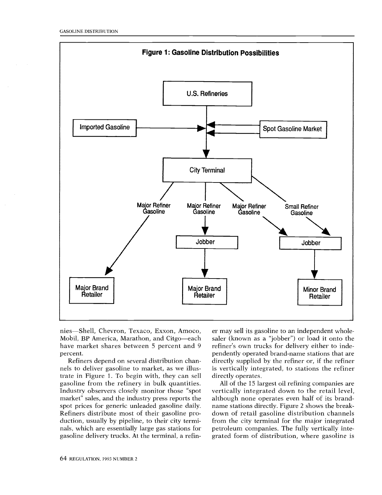

have market shares between 5 percent and 9 r nies-Shell, Chevron, Texaco, Exxon, Amoco, Mobil, BP America, Marathon, and Citgo-each percent.

nals, which are essentially large gas stations for pe Refiners depend on several distribution channels to deliver gasoline to market, as we illustrate in Figure 1. To begin with, they can sell gasoline from the refinery in bulk quantities. Industry observers closely monitor those "spot market" sales, and the industry press reports the spot prices for generic unleaded gasoline daily. Refiners distribute most of their gasoline production, usually by pipeline, to their city termigasoline delivery trucks. At the terminal, a refin-

er may sell its gasoline to an independent wholesaler (known as a "jobber") or load it onto the refiner's own trucks for delivery either to independently operated brand-name stations that are directly supplied by the refiner or, if the refiner is vertically integrated, to stations the refiner directly operates.

petroleum companies. The fully vertically inte-All of the 15 largest oil refining companies are vertically integrated down to the retail level, although none operates even half of its brandname stations directly. Figure 2 shows the breakdown of retail gasoline distribution channels from the city terminal for the major integrated grated form of distribution, where gasoline is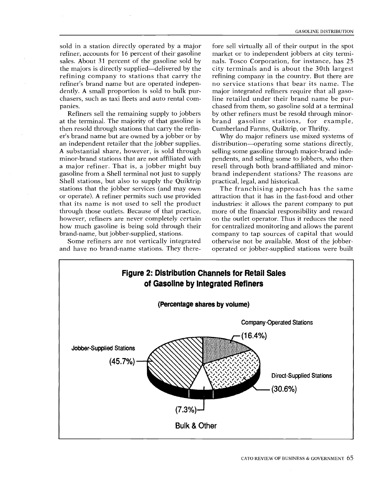refiner, accounts for 16 percent of their gasoline htm sold in a station directly operated by a major sales. About 31 percent of the gasoline sold by the majors is directly supplied—delivered by the refining company to stations that carry the refiner's brand name but are operated independently. A small proportion is sold to bulk purchasers, such as taxi fleets and auto rental companies.

how much gasoline is being sold through their for brand-name, but jobber-supplied, stations. stations that the jobber services (and may own Refiners sell the remaining supply to jobbers by e is br<br>fin- Cu<br>r by lies. di:<br>lugh sel with pe<br>py br<br>py br<br>trip pr<br>ded att<br>luct in mo<br>ded att<br>ice, mo<br>tice, mo<br>heir fol A substantial share, nowever, is sold imodernies.<br>minor-brand stations that are not affiliated with per a major refiner. That is, a jobber might buy ares at the terminal. The majority of that gasoline is then resold through stations that carry the refiner's brand name but are owned by a jobber or by an independent retailer that the jobber supplies. A substantial share, however, is sold through gasoline from a Shell terminal not just to supply Shell stations, but also to supply the Quiktrip or operate). A refiner permits such use provided that its name is not used to sell the product through those outlets. Because of that practice, however, refiners are never completely certain

Some refiners are not vertically integrated and have no brand-name stations. They there-

major integrated refiners require that all gaso-<br>line retailed under their brand name be purp s<br>s<br>e<br>...it  $\mathbf{l}$ enu<br>rati<br>n th<br>n th orand gasoline stations, for example<br>Cumberland Farms, Quiktrip, or Thrifty. fore sell virtually all of their output in the spot market or to independent jobbers at city terminals. Tosco Corporation, for instance, has 25 city terminals and is about the 30th largest refining company in the country. But there are no service stations that bear its name. The major integrated refiners require that all gasochased from them, so gasoline sold at a terminal by other refiners must be resold through minorbrand gasoline stations, for example,

resell through both brand-affiliated and minoral<br>r- ə,<br>of y, ə- n<br>rselling some gasoline through major-brand indesening some gasomne through major-brand inde-<br>pendents, and selling some to jobbers, who then Why do major refiners use mixed systems of distribution-operating some stations directly, brand independent stations? The reasons are practical, legal, and historical.

more of the financial responsibility and reward<br>on the outlet operator. Thus it reduces the need The franchising approach has the same attraction that it has in the fast-food and other industries: it allows the parent company to put more of the financial responsibility and reward for centralized monitoring and allows the parent company to tap sources of capital that would otherwise not be available. Most of the jobberoperated or jobber-supplied stations were built

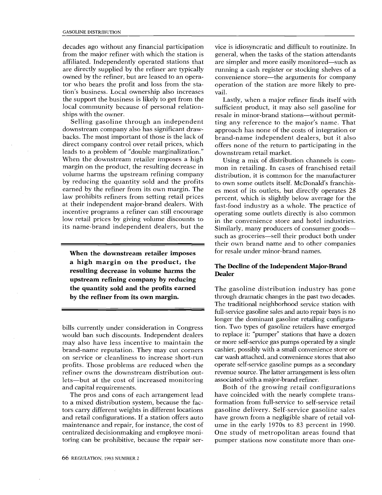owned by the refiner, but are leased to an operadecades ago without any financial participation from the major refiner with which the station is affiliated. Independently operated stations that are directly supplied by the refiner are typically tor who bears the profit and loss from the station's business. Local ownership also increases the support the business is likely to get from the local community because of personal relationships with the owner.

Selling gasoline through an independent downstream company also has significant drawbacks. The most important of those is the lack of direct company control over retail prices, which leads to a problem of "double marginalization." When the downstream retailer imposes a high margin on the product, the resulting decrease in volume harms the upstream refining company by reducing the quantity sold and the profits earned by the refiner from its own margin. The law prohibits refiners from setting retail prices at their independent major-brand dealers. With incentive programs a refiner can still encourage low retail prices by giving volume discounts to its name-brand independent dealers, but the

When the downstream retailer imposes a high margin on the product, the resulting decrease in volume harms the upstream refining company by reducing the quantity sold and the profits earned by the refiner from its own margin.

would ban such discounts. Independent dealers to bills currently under consideration in Congress may also have less incentive to maintain the brand-name reputation. They may cut corners on service or cleanliness to increase short-run profits. Those problems are reduced when the refiner owns the downstream distribution outlets-but at the cost of increased monitoring and capital requirements.

tors carry different weights in different locations ga The pros and cons of each arrangement lead to a mixed distribution system, because the facand retail configurations. If a station offers auto maintenance and repair, for instance, the cost of centralized decisionmaking and employee monitoring can be prohibitive, because the repair ser-

vice is idiosyncratic and difficult to routinize. In general, when the tasks of the station attendants are simpler and more easily monitored-such as running a cash register or stocking shelves of a convenience store-the arguments for company operation of the station are more likely to prevail.

Lastly, when a major refiner finds itself with sufficient product, it may also sell gasoline for resale in minor-brand stations---without permitting any reference to the major's name. That approach has none of the costs of integration or brand-name independent dealers, but it also offers none of the return to participating in the downstream retail market.

p. within all the conductions of the conduction of the conduction of the conduction of the conduction of the conduction of the conduction of the conduction of the conduction of the conduction of the conduction of the condu "°.3 operating some outlets directly is also common Using a mix of distribution channels is common in retailing. In cases of franchised retail distribution, it is common for the manufacturer to own some outlets itself. McDonald's franchises most of its outlets, but directly operates 28 percent, which is slightly below average for the fast-food industry as a whole. The practice of in the convenience store and hotel industries. Similarly, many producers of consumer goods--such as groceries—sell their product both under their own brand name and to other companies for resale under minor-brand names.

#### The Decline of the Independent Major-Brand Dealer

epl<br>ioi<br>*i*e: associated with a major-brand refiner. operate self-service gasoline pumps as a secondary The gasoline distribution industry has gone through dramatic changes in the past two decades. The traditional neighborhood service station with full-service gasoline sales and auto repair bays is no longer the dominant gasoline retailing configuration. Two types of gasoline retailers have emerged to replace it: "pumper" stations that have a dozen or more self-service gas pumps operated by a single cashier, possibly with a small convenience store or car wash attached, and convenience stores that also revenue source. The latter arrangement is less often

have grown from a negligible share of retail vol-Both of the growing retail configurations have coincided with the nearly complete transformation from full-service to self-service retail gasoline delivery. Self-service gasoline sales ume in the early 1970s to 83 percent in 1990. One study of metropolitan areas found that pumper stations now constitute more than one-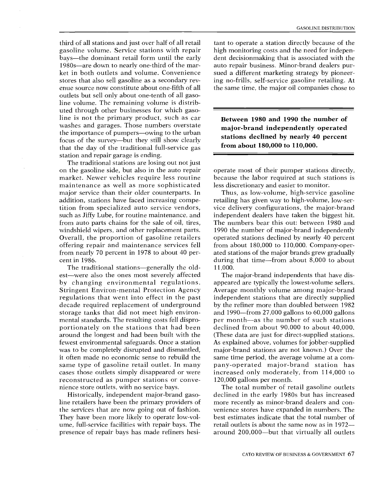uted through other businesses for which gasostation and repair garage is ending.<br>The traditional stations are losing out dica *inough* other oushesses for which guso<br>line is not the primary product, such as car<br>washes and garages. Those numbers overstate<br>the importance of pumpers—owing to the urban focus of the survey--but they still show clearly .., third of all stations and just over half of all retail  $\qquad$  ta t e o s s s il i s a d r ket in both outlets and volume. Convenience su outlets but sell only about one-tenth of all gaso-'S.. CAS gasoline volume. Service stations with repair bays—the dominant retail form until the early 1980s-are down to nearly one-third of the marstores that also sell gasoline as a secondary revenue source now constitute about one-fifth of all line volume. The remaining volume is distribwashes and garages. Those numbers overstate the importance of pumpers—owing to the urban that the day of the traditional full-service gas

- bili profit in genus de la traite state in first unit ling -cam ono moo offering repair and maintenance services fell fr gh<br>.th l gance<br>.e suy ce reptitio<br>.in we ce ations<br>.in sparr wip maintenance as well as more sophisticated les The traditional stations are losing out not just on the gasoline side, but also in the auto repair market. Newer vehicles require less routine major service than their older counterparts. In addition, stations have faced increasing competition from specialized auto service vendors, such as Jiffy Lube, for routine maintenance, and from auto parts chains for the sale of oil, tires, windshield wipers, and other replacement parts. Overall, the proportion of gasoline retailers from nearly 70 percent in 1978 to about 40 percent in 1986.

n.<br>Explores the state of the state of the state of the state of the state of the state of the state of the state of the state of the state of the state of the state of the state of the state of the state of the state of th rti... nan tan in menplaid e an di sy comminum per referantier de la provincia de la provincia de la provincia de la provincia de la provincia de la provincia de la provincia de la provincia de la provincia de la provincia regulations that went into effect in the past in fell dis<br>had bilt with<br>ilt with<br>ce a sta<br>disman<br>rebuild<br>t. In m<br>or oo.<br>ays.<br>provide:<br>of fash<br>te low<br>provide:<br>the strew bays.<br>finate low<br>fash portionately on the stations that had been de decade required replacement of underground by fewest environmental safeguards. Once a station As her<br>of nter<br>nter 197,<br>ns mos<br>men mer<br>men al F<br>nto ntion<br>di tion<br>in thion<br>in thion<br>in thion<br>in thion<br>in thion<br>in thion<br>in thion<br>in thion same type of gasoline retail outlet. In many ha The traditional stations-generally the old-Stringent Environ-mental Protection Agency A est—were also the ones most severely affected by changing environmental regulations. storage tanks that did not meet high environmental standards. The resulting costs fell disproaround the longest and had been built with the was to be completely disrupted and dismantled, it often made no economic sense to rebuild the cases those outlets simply disappeared or were reconstructed as pumper stations or convenience store outlets, with no service bays.

l-service facilities with repair bays. T pe<br>ep:<br>le : presence of repair bays has made refiners hesi-Historically, independent major-brand gasoume, full-service facilities with repair bays. The re line retailers have been the primary providers of a n the services that are now going out of fashion. They have been more likely to operate low-vol-

ing no-frills, self-service gasoline retailing. At tant to operate a station directly because of the high monitoring costs and the need for independent decisionmaking that is associated with the auto repair business. Minor-brand dealers pursued a different marketing strategy by pioneerthe same time, the major oil companies chose to

Between 1980 and 1990 the number of major-brand independently operated stations declined by nearly 40 percent from about 180,000 to 110,000.

less discretionary and easier to monitor. operate most of their pumper stations directly, because the labor required at such stations is

"P as st c\_ic\_in p!<br>"C\_ic\_in p! retailing has given way to high-volume, low-serated stations of the major brands grew gradually independent dealers have taken the biggest hit. Thus, as low-volume, high-service gasoline vice delivery configurations, the major-brand The numbers bear this out: between 1980 and 1990 the number of major-brand independently operated stations declined by nearly 40 percent from about 180,000 to 110,000. Company-operduring that time-from about 8,000 to about 11,000.

^71 by the refiner more than doubled between 1982 major-brand stations are not known.) Over the independent stations that are directly supplied As explained above, volumes for jobber-supplied b p n<br>a.a.id p at p increased only moderately, from 114,000 to<br>120,000 gallons per month. same time period, the average volume at a com-.,, declined from about 90,000 to about 40,000. The major-brand independents that have disappeared are typically the lowest-volume sellers. Average monthly volume among major-brand and 1990-from 27,000 gallons to 60,000 gallons per month-as the number of such stations (These data are just for direct-supplied stations. pany-operated major-brand station has 120,000 gallons per month.

best estimates indicate that the total number of retail outlets is about the same now as in 1972— The total number of retail gasoline outlets declined in the early 1980s but has increased more recently as minor-brand dealers and convenience stores have expanded in numbers. The around 200,000-but that virtually all outlets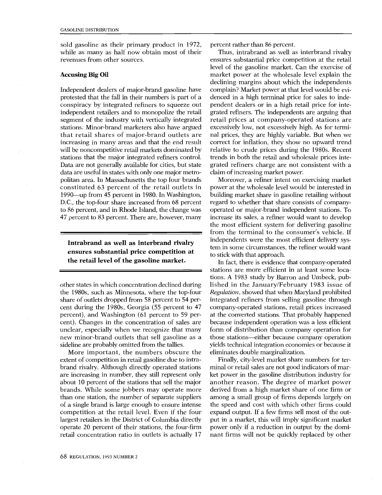sold gasoline as their primary product in 1972, while as many as half now obtain most of their revenues from other sources.

#### Accusing Big Oil

independent retailers and to monopolize the retail gra Independent dealers of major-brand gasoline have protested that the fall in their numbers is part of a conspiracy by integrated refiners to squeeze out segment of the industry with vertically integrated stations. Minor-brand marketers also have argued that retail shares of major-brand outlets are increasing in many areas and that the end result will be noncompetitive retail markets dominated by stations that the major integrated refiners control. Data are not generally available for cities, but state data are useful in states with only one major metropolitan area. In Massachusetts the top four brands constituted 63 percent of the retail outlets in 1990-up from 45 percent in 1980. In Washington, D.C., the top-four share increased from 68 percent to 86 percent, and in Rhode Island, the change was 47 percent to 83 percent. There are, however, many

#### Intrabrand as well as interbrand rivalry ensures substantial price competition at the retail level of the gasoline market.

sideline are probably omitted from the tallies.<br>More important, the numbers obscure the unclear, especially when we recognize that many for other states in which concentration declined during the 1980s, such as Minnesota, where the top-four share of outlets dropped from 58 percent to 54 percent during the 1980s, Georgia (55 percent to 47 percent), and Washington (61 percent to 59 percent). Changes in the concentration of sales are new minor-brand outlets that sell gasoline as a

More important, the numbers obscure the extent of competition in retail gasoline due to intrabrand rivalry. Although directly operated stations are increasing in number, they still represent only about 10 percent of the stations that sell the major brands. While some jobbers may operate more than one station, the number of separate suppliers of a single brand is large enough to ensure intense competition at the retail level. Even if the four largest retailers in the District of Columbia directly operate 20 percent of their stations, the four-firm retail concentration ratio in outlets is actually 17

nal prices, they are highly variable. But when we tus futionaid of the independent of the independent of the independent of  $\frac{1}{2}$  . The control of correct for inflation, they show no upward trend pus<br>ic ic m<br>wou ve ni claim of increasing market power. gh<br>e.o.e<br>' o.e.<br>' Ce.sa Thus, intrabrand as well as interbrand rivalry pendent dealers or in a high retail price for inteensures substantial price competition at the retail level of the gasoline market. Can the exercise of market power at the wholesale level explain the declining margins about which the independents complain? Market power at that level would be evidenced in a high terminal price for sales to indegrated refiners. The independents are arguing that retail prices at company-operated stations are excessively low, not excessively high. As for termirelative to crude prices during the 1980s. Recent trends in both the retail and wholesale prices integrated refiners charge are not consistent with a

tem in some circumstances, the refiner would want operated or major-brand independent stations. To h e<br>s s x;<br>a o Moreover, a refiner intent on exercising market power at the wholesale level would be interested in building market share in gasoline retailing without regard to whether that share consists of companyincrease its sales, a refiner would want to develop the most efficient system for delivering gasoline from the terminal to the consumer's vehicle. If independents were the most efficient delivery systo stick with that approach.

rie nin we<br>irc nat irc not studied en bu<br>at deep bu died in high died in the state of the state of the state of the state of the state of the state of the state of the state of the state of the state of the state of the st wa Sols primate magnetic transference in the first transference in the series of the control of the control of the control of the control of the control of the control of the control of the control of the control of the co at the converted stations. That probably happened .-t C.. C.. C.. <-+ C.. In fact, there is evidence that company-operated stations are more efficient in at least some locations. A 1983 study by Barron and Umbeck, published in the January/February 1983 issue of Regulation, showed that when Maryland prohibited integrated refiners from selling gasoline through company-operated stations, retail prices increased because independent operation was a less efficient form of distribution than company operation for those stations-either because company operation yields technical integration economies or because it eliminates double marginalization.

derived from a high market share of one firm or ,<br>w. '11'<br>in in<br>in i another reason. The degree of market power Finally, city-level market share numbers for terminal or retail sales are not good indicators of market power in the gasoline distribution industry for among a small group of firms depends largely on the speed and cost with which other firms could expand output. If a few firms sell most of the output in a market, this will imply significant market power only if a reduction in output by the dominant firms will not be quickly replaced by other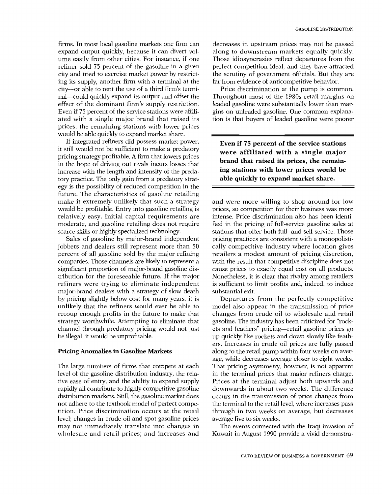ated with a single major brand that raised its tion Effect of the dominant that's supply restriction.<br>Even if 75 percent of the service stations were affilicity and tried to exercise market power by restrict-.fl would be able quickly to expand market share. nal—could quickly expand its output and offset the  $\qquad$  T firms. In most local gasoline markets one firm can expand output quickly, because it can divert volume easily from other cities. For instance, if one refiner sold 75 percent of the gasoline in a given ing its supply, another firm with a terminal at the city-or able to rent the use of a third firm's termieffect of the dominant firm's supply restriction. prices, the remaining stations with lower prices

in it e fi n w r n s<br>j .j .p pae ir y y-<br>ir y y-l-1 ee er ed court ff tij ci<br>tij ci tij ci tij v-1 u ku aa od rro future. The characteristics of gasoline retailing it still would not be sufficient to make a predatory If integrated refiners did possess market power, pricing strategy profitable. A firm that lowers prices in the hope of driving out rivals incurs losses that increase with the length and intensity of the predatory practice. The only gain from a predatory strategy is the possibility of reduced competition in the make it extremely unlikely that such a strategy would be profitable. Entry into gasoline retailing is relatively easy. Initial capital requirements are moderate, and gasoline retailing does not require scarce skills or highly specialized technology.

jobbers and dealers still represent more than 50 c re g to ave think over the ave and the system strategy worthwhile. Attempting to eliminate that ga Sales of gasoline by major-brand independent percent of all gasoline sold by the major refining companies. Those channels are likely to represent a significant proportion of major-brand gasoline distribution for the foreseeable future. If the major refiners were trying to eliminate independent major-brand dealers with a strategy of slow death by pricing slightly below cost for many years, it is unlikely that the refiners would ever be able to recoup enough profits in the future to make that channel through predatory pricing would not just be illegal, it would be unprofitable.

#### Pricing Anomalies in Gasoline Markets

distribution markets. Still, the gasoline market does or The large numbers of firms that compete at each level of the gasoline distribution industry, the relative ease of entry, and the ability to expand supply rapidly all contribute to highly competitive gasoline not adhere to the textbook model of perfect competition. Price discrimination occurs at the retail level; changes in crude oil and spot gasoline prices may not immediately translate into changes in wholesale and retail prices; and increases and

decreases in upstream prices may not be passed along to downstream markets equally quickly. Those idiosyncrasies reflect departures from the perfect competition ideal, and they have attracted the scrutiny of government officials. But they are far from evidence of anticompetitive behavior.

Price discrimination at the pump is common. Throughout most of the 1980s retail margins on leaded gasoline were substantially lower than margins on unleaded gasoline. One common explanation is that buyers of leaded gasoline were poorer

Even if 75 percent of the service stations were affiliated with a single major brand that raised its prices, the remaining stations with lower prices would be able quickly to expand market share.

ntie tarialet vialet vialet vialet vialet vialet vialet vialet vialet vialet vialet vialet vialet vialet vialet<br>tarialet vialet vialet vialet vialet vialet vialet vialet vialet vialet vialet vialet vialet vialet vialet vi cally competitive industry where location gives with the result that competitive discipline does not and were more willing to shop around for low prices, so competition for their business was more intense. Price discrimination also has been identified in the pricing of full-service gasoline sales at stations that offer both full- and self-service. Those pricing practices are consistent with a monopolistiretailers a modest amount of pricing discretion, cause prices to exactly equal cost on all products. Nonetheless, it is clear that rivalry among retailers is sufficient to limit profits and, indeed, to induce substantial exit.

Departures from the perfectly competitive pechfile as in o v r, h as wich i ,,p hi, im, tin a s ti e m c tar e = v c ai,k and e m c m s model also appear in the transmission of price changes from crude oil to wholesale and retail gasoline. The industry has been criticized for "rockets and feathers" pricing-retail gasoline prices go up quickly like rockets and down slowly like feathers. Increases in crude oil prices are fully passed along to the retail pump within four weeks on average, while decreases average closer to eight weeks. That pricing asymmetry, however, is not apparent in the terminal prices that major refiners charge. Prices at the terminal adjust both upwards and downwards in about two weeks. The difference occurs in the transmission of price changes from the terminal to the retail level, where increases pass through in two weeks on average, but decreases average five to six weeks.

The events connected with the Iraqi invasion of Kuwait in August 1990 provide a vivid demonstra-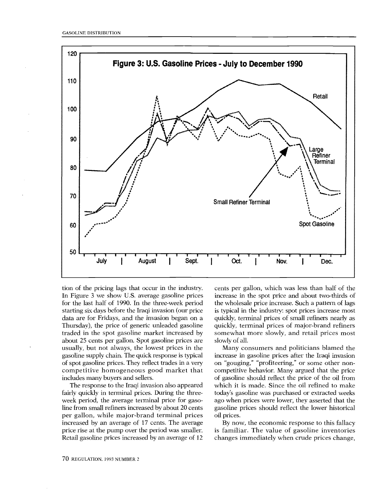

usually, but not always, the lowest prices in the competitive homogeneous good market that cor J4 vie P く O cc S cl T4 い fl ( i i as h gi data are for Fridays, and the invasion began on a qu in Figure 3 we show U.S. average gasoline prices in<br>for the last half of 1990. In the three-week period ith tion of the pricing lags that occur in the industry. In Figure 3 we show U.S. average gasoline prices starting six days before the Iraqi invasion (our price Thursday), the price of generic unleaded gasoline traded in the spot gasoline market increased by about 25 cents per gallon. Spot gasoline prices are gasoline supply chain. The quick response is typical of spot gasoline prices. They reflect trades in a very includes many buyers and sellers.

Retail gasoline prices increased by an average of 12 c The response to the Iraqi invasion also appeared fairly quickly in terminal prices. During the threeweek period, the average terminal price for gasoline from small refiners increased by about 20 cents per gallon, while major-brand terminal prices increased by an average of 17 cents. The average price rise at the pump over the period was smaller.

is typical in the industry: spot prices increase most cents per gallon, which was less than half of the increase in the spot price and about two-thirds of the wholesale price increase. Such a pattern of lags quickly, terminal prices of small refiners nearly as quickly, terminal prices of major-brand refiners somewhat more slowly, and retail prices most slowly of all.

gasoline prices should reflect the lower historical Many consumers and politicians blamed the increase in gasoline prices after the Iraqi invasion on "gouging," "profiteering," or some other noncompetitive behavior. Many argued that the price of gasoline should reflect the price of the oil from which it is made. Since the oil refined to make today's gasoline was purchased or extracted weeks ago when prices were lower, they asserted that the oil prices.

is familiar. The value of gasoline inventories By now, the economic response to this fallacy changes immediately when crude prices change,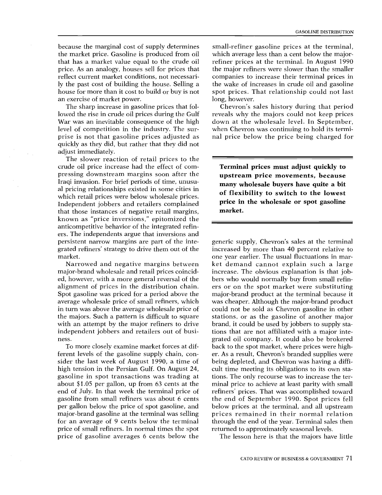house for more than it cost to build or buy is not space reserve to build or buy is not space  $\log$ di<br>g<br>! t because the marginal cost of supply determines the market price. Gasoline is produced from oil that has a market value equal to the crude oil price. As an analogy, houses sell for prices that reflect current market conditions, not necessarily the past cost of building the house. Selling a an exercise of market power.

Income prices the gasonic prices that for<br>lowed the rise in crude oil prices during the Gulf<br>War was an inevitable consequence of the high<br>level of competition in the industry. The sur-<br>prise is not that gasoline prices ad exercise of market power.<br>The sharp increase in gasoline prices that fol-War was an inevitable consequence of the high level of competition in the industry. The surprise is not that gasoline prices adjusted as quickly as they did, but rather that they did not adjust immediately.

ers. The independents argue that inversions and Iraqi invasion. For brief periods of time, unusu-Q.' Independent jobbers and retailers complained The slower reaction of retail prices to the crude oil price increase had the effect of compressing downstream margins soon after the al pricing relationships existed in some cities in which retail prices were below wholesale prices. that those instances of negative retail margins, known as "price inversions," epitomized the anticompetitive behavior of the integrated refinpersistent narrow margins are part of the integrated refiners' strategy to drive them out of the market.

Narrowed and negative margins between major-brand wholesale and retail prices coincided, however, with a more general reversal of the alignment of prices in the distribution chain. Spot gasoline was priced for a period above the average wholesale price of small refiners, which in turn was above the average wholesale price of the majors. Such a pattern is difficult to square with an attempt by the major refiners to drive independent jobbers and retailers out of business.

gasoline in spot transactions was trading at tion To more closely examine market forces at different levels of the gasoline supply chain, consider the last week of August 1990, a time of high tension in the Persian Gulf. On August 24, about \$1.05 per gallon, up from 63 cents at the end of July. In that week the terminal price of gasoline from small refiners was about 6 cents per gallon below the price of spot gasoline, and major-brand gasoline at the terminal was selling prices remained in their normal relation for an average of 9 cents below the terminal price of small refiners. In normal times the spot price of gasoline averages 6 cents below the

small-refiner gasoline prices at the terminal, which average less than a cent below the majorrefiner prices at the terminal. In August 1990 the major refiners were slower than the smaller companies to increase their terminal prices in the wake of increases in crude oil and gasoline spot prices. That relationship could not last long, however.

down at the wholesale level. In September, Chevron's sales history during that period reveals why the majors could not keep prices when Chevron was continuing to hold its terminal price below the price being charged for

Terminal prices must adjust quickly to upstream price movements, because many wholesale buyers have quite a bit of flexibility to switch to the lowest price in the wholesale or spot gasoline market.

refiners' prices. That was accomplished toward er. As a result, Chevron's branded supplies were the end of September 1990. Spot prices fell minal price to achieve at least parity with small grated oil company. It could also be brokered below prices at the terminal, and all upstream<br>prices remained in their normal relation generic supply, Chevron's sales at the terminal increased by more than 40 percent relative to one year earlier. The usual fluctuations in market demand cannot explain such a large increase. The obvious explanation is that jobbers who would normally buy from small refiners or on. the spot market were substituting major-brand product at the terminal because it was cheaper. Although the major-brand product could not be sold as Chevron gasoline in other stations, or as the gasoline of another major brand, it could be used by jobbers to supply stations that are not affiliated with a major inteback to the spot market, where prices were highbeing depleted, and Chevron was having a difficult time meeting its obligations to its own stations. The only recourse was to increase the terthrough the end of the year. Terminal sales then returned to approximately seasonal levels.

The lesson here is that the majors have little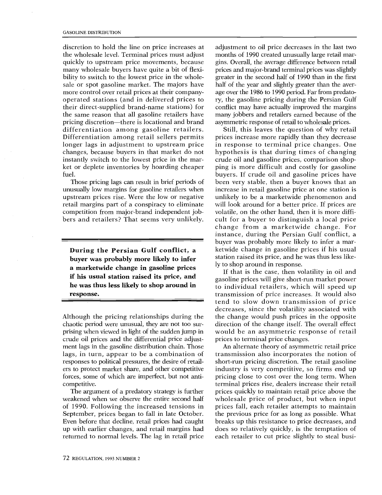ket or deplete inventories by hoarding cheaper pi ははe...- トerored .. Set..- r cf discretion to hold the line on price increases at the wholesale level. Terminal prices must adjust quickly to upstream price movements, because many wholesale buyers have quite a bit of flexibility to switch to the lowest price in the wholesale or spot gasoline market. The majors have more control over retail prices at their companyoperated stations (and in delivered prices to their direct-supplied brand-name stations) for the same reason that all gasoline retailers have pricing discretion—there is locational and brand differentiation among gasoline retailers. Differentiation among retail sellers permits longer lags in adjustment to upstream price changes, because buyers in that market do not instantly switch to the lowest price in the marfuel.

retail margins part of a conspiracy to eliminate<br>competition from major-brand independent job-Those pricing lags can result in brief periods of unusually low margins for gasoline retailers when upstream prices rise. Were the low or negative retail margins part of a conspiracy to eliminate bers and retailers? That seems very unlikely.

During the Persian Gulf conflict, a buyer was probably more likely to infer a marketwide change in gasoline prices if his usual station raised its price, and he was thus less likely to shop around in response.

Although the pricing relationships during the chaotic period were unusual, they are not too surprising when viewed in light of the sudden jump in crude oil prices and the differential price adjustment lags in the gasoline distribution chain. Those lags, in turn, appear to be a combination of responses to political pressures, the desire of retailers to protect market share, and other competitive forces, some of which are imperfect, but not anticompetitive.

Even before that decline, retail prices had caught br up with earlier changes, and retail margins had do The argument of a predatory strategy is further weakened when we observe the entire second half of 1990. Following the increased tensions in September, prices began to fall in late October. returned to normal levels. The lag in retail price

greater in the second half of 1990 than in the first age over the 1986 to 1990 period. Far from predatoprices and major-brand terminal prices was slightly many jobbers and retailers earned because of the gins. Overall, the average difference between retail conflict may have actually improved the margins adjustment to oil price decreases in the last two months of 1990 created unusually large retail marhalf of the year and slightly greater than the averry, the gasoline pricing during the Persian Gulf asymmetric response of retail to wholesale prices.

cult for a buyer to distinguish a local price buyers. If crude oil and gasoline prices have<br>been very stable, then a buyer knows that an buyer was probably more likely to infer a marping is more difficult and costly for gasoline ketwide change in gasoline prices if his usual prices increase more rapidly than they decrease crude oil and gasoline prices, comparison shopbuyers. If crude oil and gasoline prices have will look around for a better price. If prices are to whist of the set of the set of the set of the set of the set of the set of the set of the set of the set of the set of the set of the set of the set of the set of the set of the set of the set of the set of the set of t re trin in it ill hus at re tro m h / { {<br>at re er o m h / { { co se g ill hypothesis is that during times of changing unlikely to be a marketwide phenomenon and change from a marketwide change. For Still, this leaves the question of why retail in response to terminal price changes. One increase in retail gasoline price at one station is volatile, on the other hand, then it is more diffiinstance, during the Persian Gulf conflict, a station raised its price, and he was thus less likely to shop around in response.

If that is the case, then volatility in oil and ... .-. re.<br>E-ii<br>S-T gasoline prices will give short-run market power to individual retailers, which will speed up prices to terminal price changes. transmission of price increases. It would also tend to slow down transmission of price decreases, since the volatility associated with the change would push prices in the opposite direction of the change itself. The overall effect would be an asymmetric response of retail

An alternate theory of asymmetric retail price wholesale price of product, but when input does so relatively quickly, is the temptation of breaks up this resistance to price decreases, and transmission also incorporates the notion of short-run pricing discretion. The retail gasoline industry is very competitive, so firms end up pricing close to cost over the long term. When terminal prices rise, dealers increase their retail prices quickly to maintain retail price above the prices fall, each retailer attempts to maintain the previous price for as long as possible. What each retailer to cut price slightly to steal busi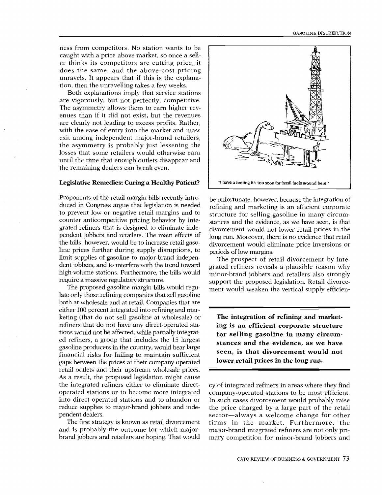ness from competitors. No station wants to be caught with a price above market, so once a seller thinks its competitors are cutting price, it does the same, and the above-cost pricing unravels. It appears that if this is the explanation, then the unravelling takes a few weeks.

Both explanations imply that service stations are vigorously, but not perfectly, competitive. The asymmetry allows them to earn higher revenues than if it did not exist, but the revenues are clearly not leading to excess profits. Rather, with the ease of entry into the market and mass exit among independent major-brand retailers, the asymmetry is probably just lessening the losses that some retailers would otherwise earn until the time that enough outlets disappear and the remaining dealers can break even.

#### Legislative Remedies: Curing a Healthy Patient? | "I have a feeling it's too soon for fossil fuels around here."

Proponents of the retail margin bills recently introduced in Congress argue that legislation is needed to prevent low or negative retail margins and to counter anticompetitive pricing behavior by integrated refiners that is designed to eliminate independent jobbers and retailers. The main effects of the bills, however, would be to increase retail gasoline prices further during supply disruptions, to limit supplies of gasoline to major-brand independent jobbers, and to interfere with the trend toward high-volume stations. Furthermore, the bills would require a massive regulatory structure.

The proposed gasoline margin bills would regulate only those refining companies that sell gasoline both at wholesale and at retail. Companies that are either 100 percent integrated into refining and marketing (that do not sell gasoline at wholesale) or refiners that do not have any direct operated stations would not be affected, while partially integrated refiners, a group that includes the 15 largest gasoline producers in the country, would bear large financial risks for failing to maintain sufficient gaps between the prices at their company-operated retail outlets and their upstream wholesale prices. As a result, the proposed legislation might cause the integrated refiners either to eliminate directoperated stations or to become more integrated into direct-operated stations and to abandon or reduce supplies to major-brand jobbers and independent dealers.

and is probably the outcome for which major-The first strategy is known as retail divorcement brand jobbers and retailers are hoping. That would



rice<br>e tl<br>ver be unfortunate, however, because the integration of refining and marketing is an efficient corporate structure for selling gasoline in many circumstances and the evidence, as we have seen, is that divorcement would not lower retail prices in the long run. Moreover, there is no evidence that retail divorcement would eliminate price inversions or periods of low margins.

support the proposed legislation. Retail divorcement would weaken the vertical supply efficien-The prospect of retail divorcement by integrated refiners reveals a plausible reason why minor-brand jobbers and retailers also strongly

The integration of refining and marketing is an efficient corporate structure for selling gasoline in many circumstances and the evidence, as we have seen, is that divorcement would not lower retail prices in the long run.

nost<br>roba<br>of t<br>ge f<br>rmc<br>not cy of integrated refiners in areas where they find company-operated stations to be most efficient. In such cases divorcement would probably raise the price charged by a large part of the retail sector-always a welcome change for other firms in the market. Furthermore, the major-brand integrated refiners are not only primary competition for minor-brand jobbers and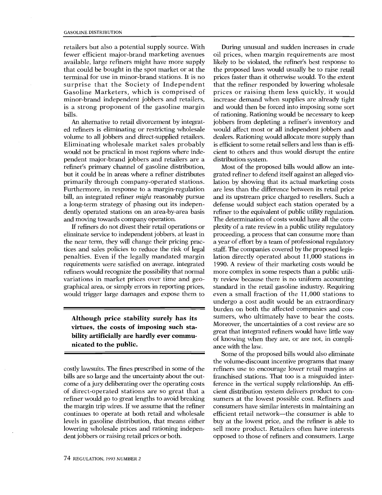terminal for use in minor-brand stations. It is no prior Gasoline Marketers, which is comprised of prio fewer efficient major-brand marketing avenues oil minor-brand independent jobbers and retailers, inc that could be bought in the spot market or at the the bills. retailers but also a potential supply source. With available, large refiners might have more supply surprise that the Society of Independent is a strong proponent of the gasoline margin

dently operated stations on an area-by-area basis refi tdoise self-steganscripping age primarity inrough company-operated stations.<br>
Furthermore, in response to a margin-regulation are<br>
bill, an integrated refiner *might* reasonably pursue and Eliminating wholesale market sales probably is ef ed refiners is eliminating or restricting wholesale wo An alternative to retail divorcement by integratvolume to all jobbers and direct-supplied retailers. would not be practical in most regions where independent major-brand jobbers and retailers are a refiner's primary channel of gasoline distribution, but it could be in areas where a refiner distributes primarily through company-operated stations. Furthermore, in response to a margin-regulation a long-term strategy of phasing out its indepenand moving towards company operation.

would trigger large damages and expose them to eve If refiners do not divest their retail operations or eliminate service to independent jobbers, at least in the near term, they will change their pricing practices and sales policies to reduce the risk of legal penalties. Even if the legally mandated margin requirements were satisfied on average, integrated refiners would recognize the possibility that normal variations in market prices over time and geographical area, or simply errors in reporting prices,

Although price stability surely has its virtues, the costs of imposing such stability artificially are hardly ever communicated to the public.

costly lawsuits. The fines prescribed in some of the bills are so large and the uncertainty about the outcome of a jury deliberating over the operating costs of direct-operated stations are so great that a refiner would go to great lengths to avoid breaking the margin trip wires. If we assume that the refiner continues to operate at both retail and wholesale levels in gasoline distribution, that means either lowering wholesale prices and rationing independent jobbers or raising retail prices or both.

is efficient to some retail sellers and less than is effiprices faster than it otherwise would. To the extent d l น i น i inallel whisiaelis .ee aa uiner'<br>all'www.<br>s clies<br>interperate as a<br>did www.<br>uga and would then be forced into imposing some sort d x t o e p n e a g ag ai '' e tu h likely to be violated, the refiner's best response to t oil tt e d tt tt p d d n i- e محمد e a a a u - y n y - n e i- g During unusual and sudden increases in crude oil prices, when margin requirements are most the proposed laws would usually be to raise retail that the refiner responded by lowering wholesale prices or raising them less quickly, it would increase demand when supplies are already tight of rationing. Rationing would be necessary to keep jobbers from depleting a refiner's inventory and would affect most or all independent jobbers and dealers. Rationing would allocate more supply than cient to others and thus would disrupt the entire distribution system.

ulale<br>ale ffi<br>ffi nt tri Mt<br>te ion the le di linne<br>di linne e c xit<br>e e di linne<br>e e di linne<br>e ffi.<br>e e di linne e r de me de me de me de me de me de me de Sc 'UK '-. '-' "c3 r,-, i1. ect<br>'y l<br>ties<br>ine<br>are lation by showing that its actual marketing costs grated refiner to defend itself against an alleged viodefense would subject each station operated by a sumers, who ultimately have to bear the costs. grated refiner to defend itself against an alleged violation by showing that its actual marketing costs<br>are less than the difference between its retail price<br>and its unstream price aboved to reall massless for a ty review because there is no uniform accounting<br>standard in the retail gasoline industry. Requiring Most of the proposed bills would allow an inteand its upstream price charged to resellers. Such a refiner to the equivalent of public utility regulation. The determination of costs would have all the complexity of a rate review in a public utility regulatory proceeding, a process that can consume more than a year of effort by a team of professional regulatory staff. The companies covered by the proposed legislation directly operated about 11,000 stations in 1990. A review of their marketing costs would be more complex in some respects than a public utility review because there is no uniform accounting even a small fraction of the 11,000 stations to undergo a cost audit would be an extraordinary burden on both the affected companies and con-Moreover, the uncertainties of a cost review are so great that integrated refiners would have little way of knowing when they are, or are not, in compliance with the law.

buy at the lowest price, and the refiner is able to Some of the proposed bills would also eliminate the volume-discount incentive programs that many refiners use to encourage lower retail margins at franchised stations. That too is a misguided interference in the vertical supply relationship. An efficient distribution system delivers product to consumers at the lowest possible cost. Refiners and consumers have similar interests in maintaining an efficient retail network---the consumer is able to sell more product. Retailers often have interests opposed to those of refiners and consumers. Large